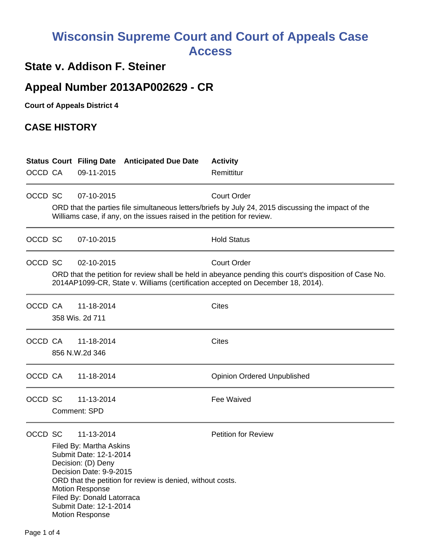# **Wisconsin Supreme Court and Court of Appeals Case Access**

### **State v. Addison F. Steiner**

## **Appeal Number 2013AP002629 - CR**

**Court of Appeals District 4**

#### **CASE HISTORY**

|         |                                                                                                                                                                                |                                                                                                                                                                                            | <b>Status Court Filing Date Anticipated Due Date</b> | <b>Activity</b>                    |  |  |  |
|---------|--------------------------------------------------------------------------------------------------------------------------------------------------------------------------------|--------------------------------------------------------------------------------------------------------------------------------------------------------------------------------------------|------------------------------------------------------|------------------------------------|--|--|--|
| OCCD CA |                                                                                                                                                                                | 09-11-2015                                                                                                                                                                                 |                                                      | Remittitur                         |  |  |  |
| OCCD SC |                                                                                                                                                                                | 07-10-2015                                                                                                                                                                                 |                                                      | <b>Court Order</b>                 |  |  |  |
|         | ORD that the parties file simultaneous letters/briefs by July 24, 2015 discussing the impact of the<br>Williams case, if any, on the issues raised in the petition for review. |                                                                                                                                                                                            |                                                      |                                    |  |  |  |
| OCCD SC |                                                                                                                                                                                | 07-10-2015                                                                                                                                                                                 |                                                      | <b>Hold Status</b>                 |  |  |  |
| OCCD SC |                                                                                                                                                                                | 02-10-2015                                                                                                                                                                                 |                                                      | <b>Court Order</b>                 |  |  |  |
|         |                                                                                                                                                                                | ORD that the petition for review shall be held in abeyance pending this court's disposition of Case No.<br>2014AP1099-CR, State v. Williams (certification accepted on December 18, 2014). |                                                      |                                    |  |  |  |
| OCCD CA |                                                                                                                                                                                | 11-18-2014                                                                                                                                                                                 |                                                      | Cites                              |  |  |  |
|         | 358 Wis. 2d 711                                                                                                                                                                |                                                                                                                                                                                            |                                                      |                                    |  |  |  |
| OCCD CA |                                                                                                                                                                                | 11-18-2014                                                                                                                                                                                 |                                                      | <b>Cites</b>                       |  |  |  |
|         | 856 N.W.2d 346                                                                                                                                                                 |                                                                                                                                                                                            |                                                      |                                    |  |  |  |
| OCCD CA |                                                                                                                                                                                | 11-18-2014                                                                                                                                                                                 |                                                      | <b>Opinion Ordered Unpublished</b> |  |  |  |
| OCCD SC |                                                                                                                                                                                | 11-13-2014                                                                                                                                                                                 |                                                      | <b>Fee Waived</b>                  |  |  |  |
|         | Comment: SPD                                                                                                                                                                   |                                                                                                                                                                                            |                                                      |                                    |  |  |  |
| OCCD SC |                                                                                                                                                                                | 11-13-2014                                                                                                                                                                                 |                                                      | <b>Petition for Review</b>         |  |  |  |
|         | Filed By: Martha Askins                                                                                                                                                        |                                                                                                                                                                                            |                                                      |                                    |  |  |  |
|         |                                                                                                                                                                                | Submit Date: 12-1-2014<br>Decision: (D) Deny                                                                                                                                               |                                                      |                                    |  |  |  |
|         |                                                                                                                                                                                | Decision Date: 9-9-2015                                                                                                                                                                    |                                                      |                                    |  |  |  |
|         | ORD that the petition for review is denied, without costs.                                                                                                                     |                                                                                                                                                                                            |                                                      |                                    |  |  |  |
|         | <b>Motion Response</b><br>Filed By: Donald Latorraca                                                                                                                           |                                                                                                                                                                                            |                                                      |                                    |  |  |  |
|         | Submit Date: 12-1-2014<br><b>Motion Response</b>                                                                                                                               |                                                                                                                                                                                            |                                                      |                                    |  |  |  |
|         |                                                                                                                                                                                |                                                                                                                                                                                            |                                                      |                                    |  |  |  |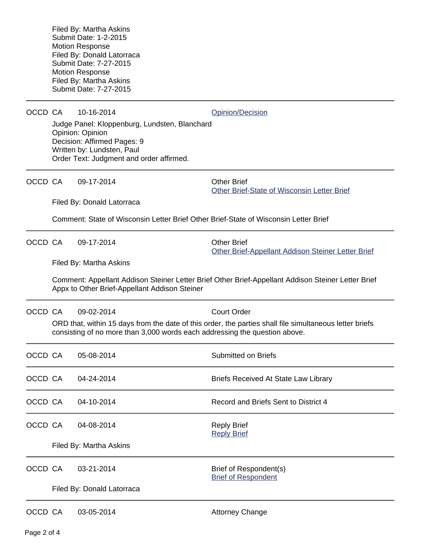Filed By: Martha Askins Submit Date: 1-2-2015 Motion Response Filed By: Donald Latorraca Submit Date: 7-27-2015 Motion Response Filed By: Martha Askins Submit Date: 7-27-2015 OCCD CA 10-16-2014 [Opinion/Decision](http://www.wicourts.gov/other/appeals/caopin.jsp?docket_number=2013AP002629) Judge Panel: Kloppenburg, Lundsten, Blanchard Opinion: Opinion Decision: Affirmed Pages: 9 Written by: Lundsten, Paul Order Text: Judgment and order affirmed. OCCD CA 09-17-2014 Cher Brief [Other Brief-State of Wisconsin Letter Brief](https://acefiling.wicourts.gov/document/uploaded/2013AP002629/137437) Filed By: Donald Latorraca Comment: State of Wisconsin Letter Brief Other Brief-State of Wisconsin Letter Brief OCCD CA 09-17-2014 Cher Brief [Other Brief-Appellant Addison Steiner Letter Brief](https://acefiling.wicourts.gov/document/uploaded/2013AP002629/137435) Filed By: Martha Askins Comment: Appellant Addison Steiner Letter Brief Other Brief-Appellant Addison Steiner Letter Brief Appx to Other Brief-Appellant Addison Steiner OCCD CA 09-02-2014 Court Order ORD that, within 15 days from the date of this order, the parties shall file simultaneous letter briefs consisting of no more than 3,000 words each addressing the question above. OCCD CA 05-08-2014 Submitted on Briefs OCCD CA 04-24-2014 Briefs Received At State Law Library OCCD CA  $04-10-2014$  Record and Briefs Sent to District 4 OCCD CA 04-08-2014 Reply Brief [Reply Brief](https://acefiling.wicourts.gov/document/eFiled/2013AP002629/110202) Filed By: Martha Askins OCCD CA 03-21-2014 Brief of Respondent(s) [Brief of Respondent](https://acefiling.wicourts.gov/document/eFiled/2013AP002629/109540) Filed By: Donald Latorraca OCCD CA 03-05-2014 Attorney Change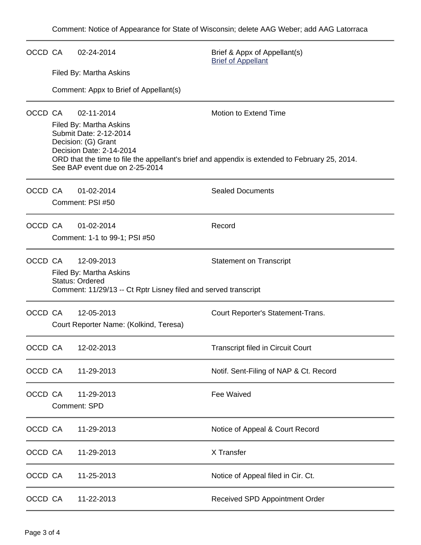| OCCD CA |                                                                                                                                                   | 02-24-2014                                        | Brief & Appx of Appellant(s)<br><b>Brief of Appellant</b> |  |  |  |  |
|---------|---------------------------------------------------------------------------------------------------------------------------------------------------|---------------------------------------------------|-----------------------------------------------------------|--|--|--|--|
|         | Filed By: Martha Askins                                                                                                                           |                                                   |                                                           |  |  |  |  |
|         |                                                                                                                                                   | Comment: Appx to Brief of Appellant(s)            |                                                           |  |  |  |  |
| OCCD CA | 02-11-2014                                                                                                                                        |                                                   | Motion to Extend Time                                     |  |  |  |  |
|         |                                                                                                                                                   | Filed By: Martha Askins<br>Submit Date: 2-12-2014 |                                                           |  |  |  |  |
|         | Decision: (G) Grant<br>Decision Date: 2-14-2014<br>ORD that the time to file the appellant's brief and appendix is extended to February 25, 2014. |                                                   |                                                           |  |  |  |  |
|         |                                                                                                                                                   | See BAP event due on 2-25-2014                    |                                                           |  |  |  |  |
| OCCD CA |                                                                                                                                                   | 01-02-2014                                        | <b>Sealed Documents</b>                                   |  |  |  |  |
|         | Comment: PSI #50                                                                                                                                  |                                                   |                                                           |  |  |  |  |
| OCCD CA |                                                                                                                                                   | 01-02-2014                                        | Record                                                    |  |  |  |  |
|         | Comment: 1-1 to 99-1; PSI #50                                                                                                                     |                                                   |                                                           |  |  |  |  |
| OCCD CA |                                                                                                                                                   | 12-09-2013                                        | <b>Statement on Transcript</b>                            |  |  |  |  |
|         |                                                                                                                                                   | Filed By: Martha Askins<br><b>Status: Ordered</b> |                                                           |  |  |  |  |
|         | Comment: 11/29/13 -- Ct Rptr Lisney filed and served transcript                                                                                   |                                                   |                                                           |  |  |  |  |
| OCCD CA |                                                                                                                                                   | 12-05-2013                                        | Court Reporter's Statement-Trans.                         |  |  |  |  |
|         |                                                                                                                                                   | Court Reporter Name: (Kolkind, Teresa)            |                                                           |  |  |  |  |
| OCCD CA |                                                                                                                                                   | 12-02-2013                                        | <b>Transcript filed in Circuit Court</b>                  |  |  |  |  |
| OCCD CA |                                                                                                                                                   | 11-29-2013                                        | Notif. Sent-Filing of NAP & Ct. Record                    |  |  |  |  |
| OCCD CA |                                                                                                                                                   | 11-29-2013                                        | <b>Fee Waived</b>                                         |  |  |  |  |
|         | <b>Comment: SPD</b>                                                                                                                               |                                                   |                                                           |  |  |  |  |
| OCCD CA |                                                                                                                                                   | 11-29-2013                                        | Notice of Appeal & Court Record                           |  |  |  |  |
| OCCD CA |                                                                                                                                                   | 11-29-2013                                        | X Transfer                                                |  |  |  |  |
| OCCD CA |                                                                                                                                                   | 11-25-2013                                        | Notice of Appeal filed in Cir. Ct.                        |  |  |  |  |
| OCCD CA |                                                                                                                                                   | 11-22-2013                                        | Received SPD Appointment Order                            |  |  |  |  |